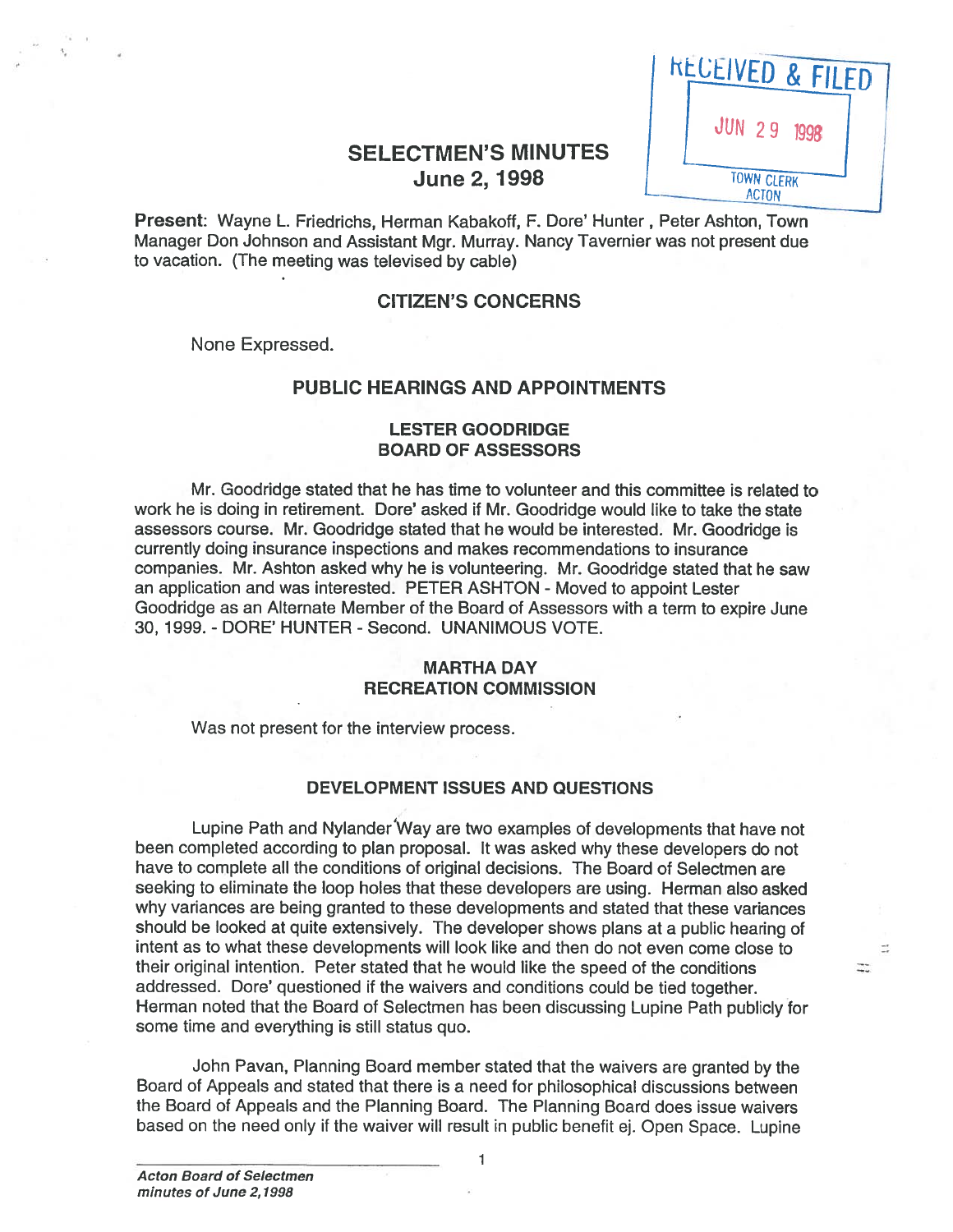| <b>KECEIVED &amp; FILED</b>       |  |
|-----------------------------------|--|
| <b>JUN 29 1998</b>                |  |
| <b>TOWN CLERK</b><br><b>ACTON</b> |  |

 $\mathbb{R}^3$  $\Xi$ 

# SELECTMEN'S MINUTES June 2, 1998

Present: Wayne L. Friedrichs, Herman Kabakoff, F. Dore' Hunter, Peter Ashton, Town Managet Don Johnson and Assistant Mgr. Murray. Nancy Tavernier was not presen<sup>t</sup> due to vacation. (The meeting was televised by cable)

### CITIZEN'S CONCERNS

None Expressed.

## PUBLIC HEARINGS AND APPOINTMENTS

### LESTER GOODRIDGE BOARD OF ASSESSORS

Mr. Goodridge stated that he has time to volunteer and this committee is related to work he is doing in retirement. Dore' asked if Mr. Goodridge would like to take the state assessors course. Mr. Goodridge stated that he would be interested. Mr. Goodridge is currently doing insurance inspections and makes recommendations to insurance companies. Mr. Ashton asked why he is volunteering. Mr. Goodridge stated that he saw an application and was interested. PETER ASHTON - Moved to appoint Lester Goodridge as an Alternate Member of the Board of Assessors with <sup>a</sup> term to expire June 30, 1999. - DORE' HUNTER - Second. UNANIMOUS VOTE.

# MARTHA DAY RECREATION COMMISSION

Was not presen<sup>t</sup> for the interview process.

### DEVELOPMENT ISSUES AND QUESTIONS

Lupine Path and Nylander'Way are two examples of developments that have not been completed according to <sup>p</sup>lan proposal. It was asked why these developers do not have to complete all the conditions of original decisions. The Board of Selectmen are seeking to eliminate the loop holes that these developers are using. Herman also asked why variances are being granted to these developments and stated that these variances should be looked at quite extensively. The developer shows <sup>p</sup>lans at <sup>a</sup> public hearing of intent as to what these developments will look like and then do not even come close to their original intention. Peter stated that he would like the speed of the conditions addressed. Dore' questioned if the waivers and conditions could be tied together. Herman noted that the Board of Selectmen has been discussing Lupine Path publicly for some time and everything is still status quo.

John Pavan, Planning Board member stated that the waivers are granted by the Board of Appeals and stated that there is <sup>a</sup> need for philosophical discussions between the Board of Appeals and the Planning Board. The Planning Board does issue waivers based on the need only if the waiver will result in public benefit ej. Open Space. Lupine

1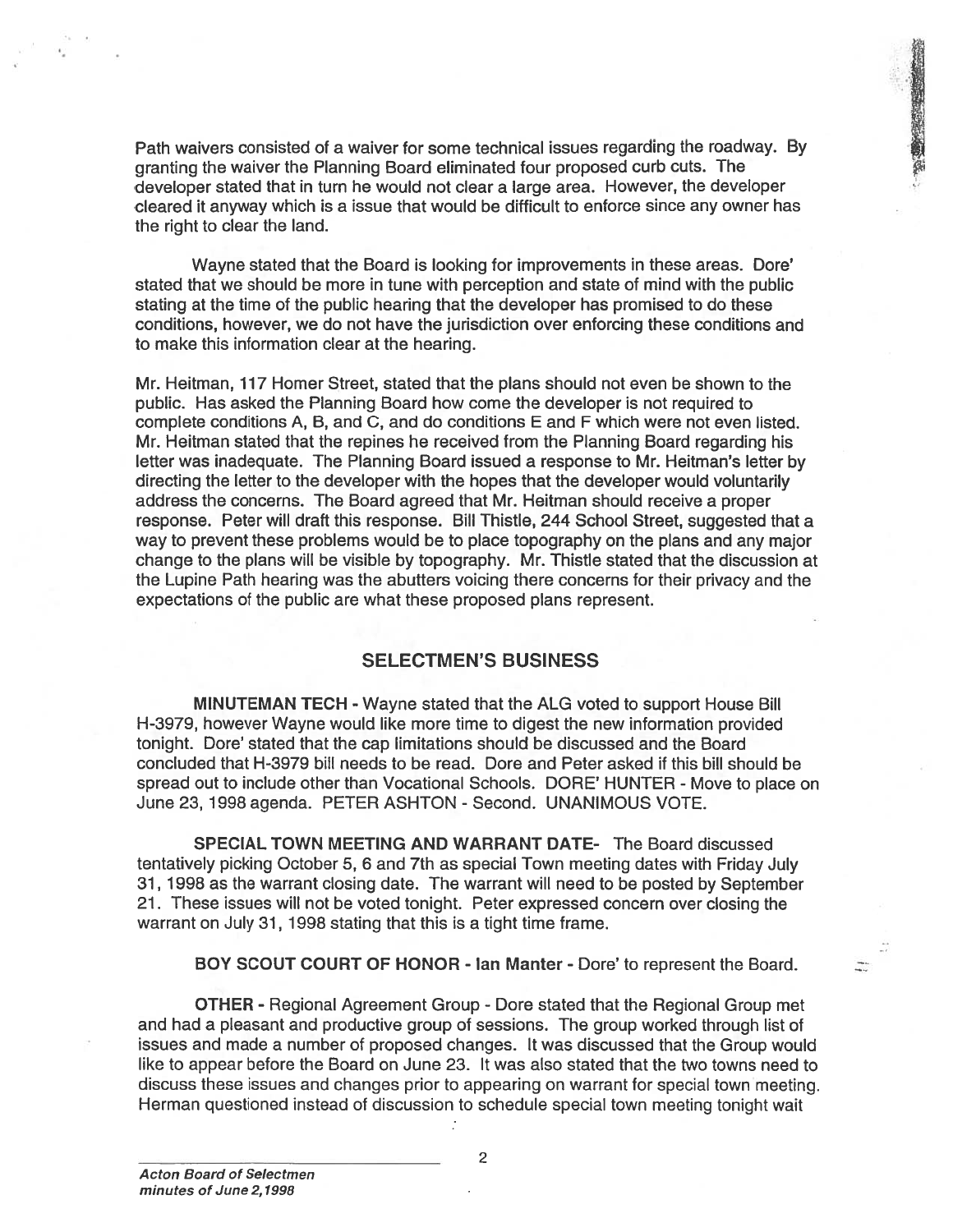Path waivers consisted of <sup>a</sup> waiver for some technical issues regarding the roadway. By granting the waiver the Planning Board eliminated four propose<sup>d</sup> curb cuts. The developer stated that in turn he would not clear <sup>a</sup> large area. However, the developer cleared it anyway which is <sup>a</sup> issue that would be difficult to enforce since any owner has the right to clear the land.

● 12 番組の 2012年12月

Wayne stated that the Board is looking for improvements in these areas. Dore' stated that we should be more in tune with perception and state of mind with the public stating at the time of the public hearing that the developer has promised to do these conditions, however, we do not have the jurisdiction over enforcing these conditions and to make this information clear at the hearing.

Mr. Heitman, 117 Homer Street, stated that the plans should not even be shown to the public. Has asked the Planning Board how come the developer is not required to complete conditions A, B, and C, and do conditions E and F which were not even listed. Mr. Heitman stated that the repines he received from the Planning Board regarding his letter was inadequate. The Planning Board issued <sup>a</sup> response to Mr. Heitman's letter by directing the letter to the developer with the hopes that the developer would voluntarily address the concerns. The Board agreed that Mr. Heitman should receive <sup>a</sup> proper response. Peter will draft this response. Bill Thistle, 244 School Street, suggested that <sup>a</sup> way to preven<sup>t</sup> these problems would be to place topography on the plans and any major change to the plans will be visible by topography. Mr. Thistle stated that the discussion at the Lupine Path hearing was the abutters voicing there concerns for their privacy and the expectations of the public are what these proposed plans represent.

## SELECTMEN'S BUSINESS

MINUTEMAN TECH - Wayne stated that the ALG voted to suppor<sup>t</sup> House Bill H-3979, however Wayne would like more time to digest the new information provided tonight. Dore' stated that the cap limitations should be discussed and the Board concluded that H-3979 bill needs to be read. Dore and Peter asked if this bill should be spread out to include other than Vocational Schools. DORE' HUNTER - Move to <sup>p</sup>lace on June 23, 1998 agenda. PETER ASHTON - Second. UNANIMOUS VOTE.

SPECIAL TOWN MEETING AND WARRANT DATE- The Board discussed tentatively <sup>p</sup>icking October 5, <sup>6</sup> and 7th as special Town meeting dates with Friday July 31, 1998 as the warrant closing date. The warrant will need to be posted by September 21. These issues will not be voted tonight. Peter expressed concern over closing the warrant on July 31, 1998 stating that this is <sup>a</sup> tight time frame.

BOY SCOUT COURT OF HONOR - Ian Manter - Dore' to represen<sup>t</sup> the Board.

OTHER - Regional Agreement Group - Dore stated that the Regional Group met and had <sup>a</sup> pleasant and productive group of sessions. The group worked through list of issues and made <sup>a</sup> number of proposed changes. It was discussed that the Group would like to appear before the Board on June 23. It was also stated that the two towns need to discuss these issues and changes prior to appearing on warrant for special town meeting. Herman questioned instead of discussion to schedule special town meeting tonight wait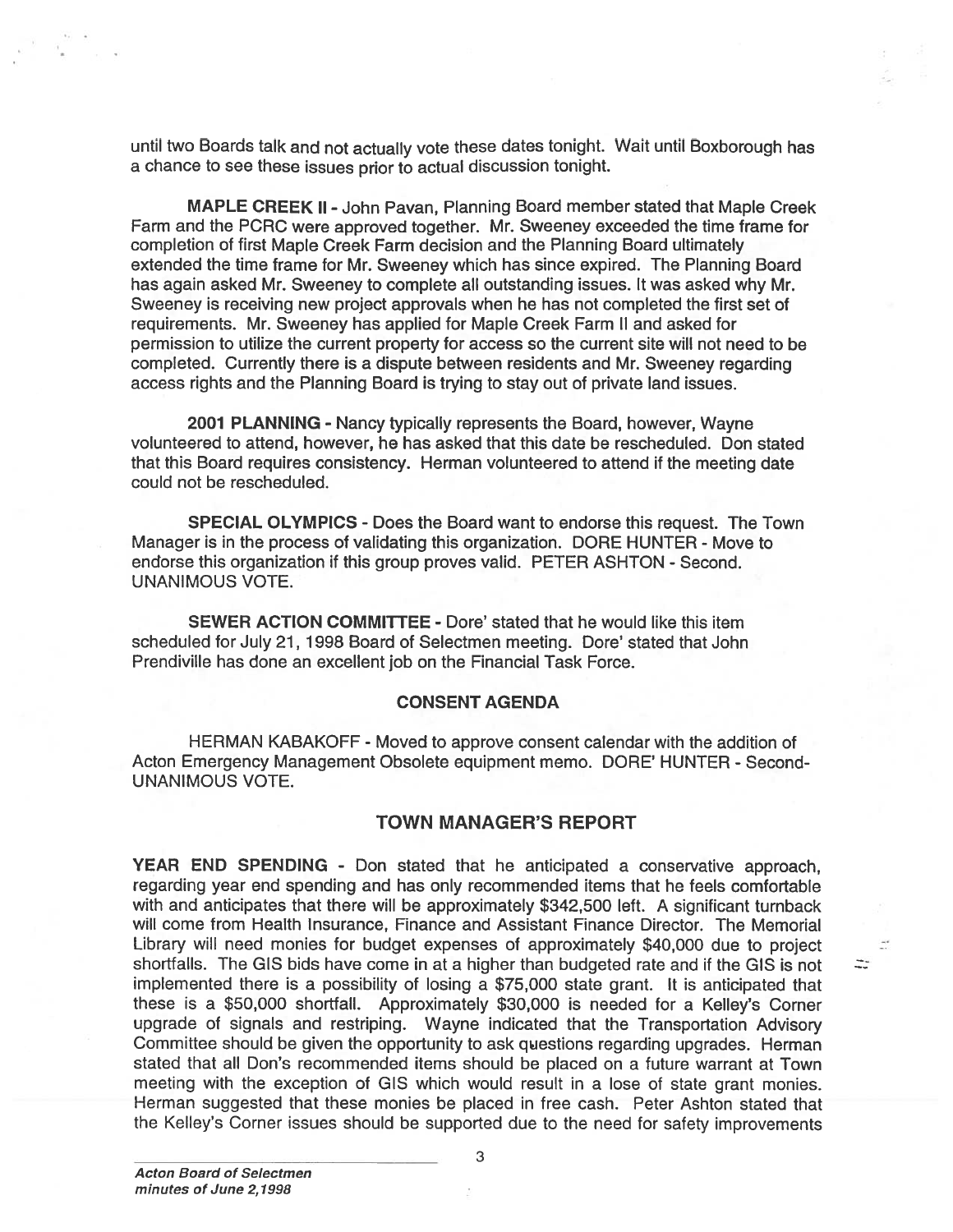until two Boards talk and not actually vote these dates tonight. Wait until Boxborough has <sup>a</sup> chance to see these issues prior to actual discussion tonight.

MAPLE CREEK II -John Pavan, Planning Board member stated that Maple Creek Farm and the PCRC were approved together. Mr. Sweeney exceeded the time frame for completion of first Maple Creek Farm decision and the Planning Board ultimately extended the time frame for Mr. Sweeney which has since expired. The Planning Board has again asked Mr. Sweeney to complete all outstanding issues. It was asked why Mr. Sweeney is receiving new project approvals when he has not completed the first set of requirements. Mr. Sweeney has applied for Maple Creek Farm II and asked for permission to utilize the current property for access so the current site will not need to be completed. Currently there is <sup>a</sup> dispute between residents and Mr. Sweeney regarding access rights and the Planning Board is trying to stay out of private land issues.

2001 PLANNING - Nancy typically represents the Board, however, Wayne volunteered to attend, however, he has asked that this date be rescheduled. Don stated that this Board requires consistency. Herman volunteered to attend if the meeting date could not be rescheduled.

SPECIAL OLYMPICS -Does the Board want to endorse this request. The Town Manager is in the process of validating this organization. DORE HUNTER - Move to endorse this organization if this group proves valid. PETER ASHTON - Second. UNANIMOUS VOTE.

SEWER ACTION COMMITTEE - Dore' stated that he would like this item scheduled for July 21, 1998 Board of Selectmen meeting. Dore' stated that John Prendiville has done an excellent job on the Financial Task Force.

#### CONSENT AGENDA

HERMAN KABAKOFF - Moved to approve consent calendar with the addition of Acton Emergency Management Obsolete equipment memo. DORE' HUNTER - Second-UNANIMOUS VOTE.

#### TOWN MANAGER'S REPORT

 $\frac{1}{\sqrt{2}}$ 

YEAR END SPENDING - Don stated that he anticipated <sup>a</sup> conservative approach, regarding year end spending and has only recommended items that he feels comfortable with and anticipates that there will be approximately \$342,500 left. A significant turnback will come from Health Insurance, Finance and Assistant Finance Director. The Memorial Library will need monies for budget expenses of approximately \$40,000 due to project shortfalls. The GIS bids have come in at <sup>a</sup> higher than budgeted rate and if the GIS is not implemented there is <sup>a</sup> possibility of losing <sup>a</sup> \$75,000 state grant. It is anticipated that these is <sup>a</sup> \$50,000 shortfall. Approximately \$30,000 is needed for <sup>a</sup> Kelley's Corner upgrade of signals and restriping. Wayne indicated that the Transportation Advisory Committee should be given the opportunity to ask questions regarding upgrades. Herman stated that all Don's recommended items should be placed on <sup>a</sup> future warrant at Town meeting with the exception of GIS which would result in <sup>a</sup> lose of state gran<sup>t</sup> monies. Herman suggested that these monies be placed in free cash. Peter Ashton stated that the Kelley's Corner issues should be supported due to the need for safety improvements

3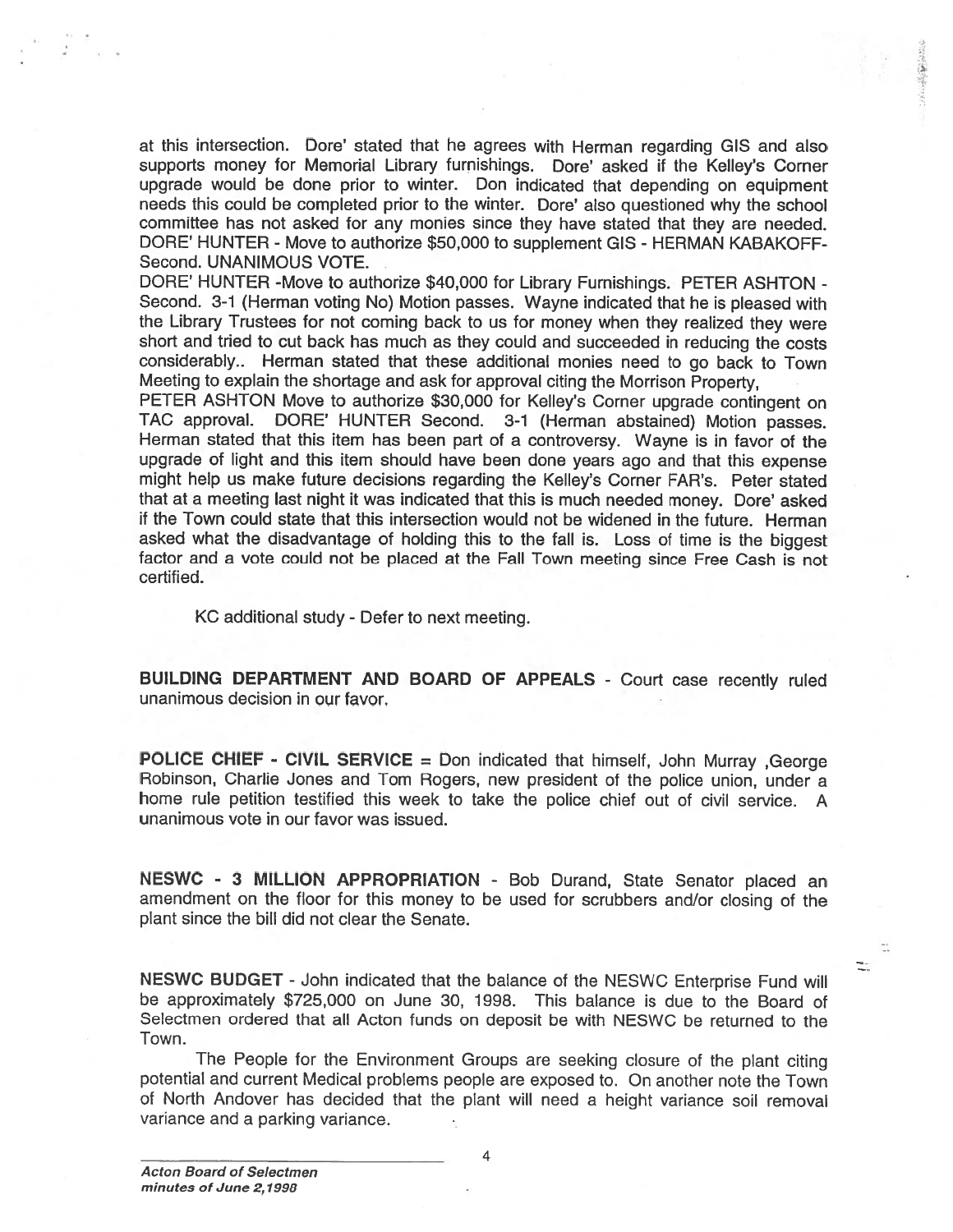at this intersection. Dore' stated that he agrees with Herman regarding GIS and also supports money for Memorial Library furnishings. Dore' asked it the Kelley's Corner upgrade would be done prior to winter. Don indicated that depending on equipment needs this could be completed prior to the winter. Dore' also questioned why the school committee has not asked for any monies since they have stated that they are needed. DORE' HUNTER - Move to authorize \$50,000 to supplement GIS - HERMAN KABAKOFF Second. UNANIMOUS VOTE.

DORE' HUNTER -Move to authorize \$40,000 for Library Furnishings. PETER ASHTON - Second. 3-1 (Herman voting No) Motion passes. Wayne indicated that he is <sup>p</sup>leased with the Library Trustees for not coming back to us for money when they realized they were short and tried to cut back has much as they could and succeeded in reducing the costs considerably.. Herman stated that these additional monies need to go back to Town Meeting to explain the shortage and ask for approva<sup>l</sup> citing the Morrison Property,

PETER ASHTON Move to authorize \$30,000 for Kelley's Corner upgrade contingent on TAC approval. DORE' HUNTER Second. 3-1 (Herman abstained) Motion passes. Herman stated that this item has been par<sup>t</sup> of <sup>a</sup> controversy. Wayne is in favor of the upgrade of light and this item should have been done years ago and that this expense might help us make future decisions regarding the Kelley's Corner FAR's. Peter stated that at <sup>a</sup> meeting last night it was indicated that this is much needed money. Dote' asked it the Town could state that this intersection would not be widened in the future. Herman asked what the disadvantage of holding this to the fall is. Loss of time is the biggest factor and <sup>a</sup> vote could not be <sup>p</sup>laced at the Fall Town meeting since Free Cash is not certified.

KC additional study - Defer to next meeting.

BUILDING DEPARTMENT AND BOARD OF APPEALS - Court case recently ruled unanimous decision in our favor.

POLICE CHIEF - CIVIL SERVICE = Don indicated that himself, John Murray , George Robinson, Charlie Jones and Tom Rogers, new president of the police union, under <sup>a</sup> home rule petition testified this week to take the police chief out of civil service. <sup>A</sup> unanimous vote in our favor was issued.

NESWC - <sup>3</sup> MILLION APPROPRIATION - Bob Durand, State Senator <sup>p</sup>laced an amendment on the floor for this money to be used for scrubbers and/or closing of the plant since the bill did not clear the Senate.

> ÷. t.

NESWC BUDGET -John indicated that the balance of the NESWC Enterprise Fund will be approximately \$725,000 on June 30, 1998. This balance is due to the Board of Selectmen ordered that all Acton funds on deposit be with NESWC be returned to the Town.

The People for the Environment Groups are seeking closure of the <sup>p</sup>lant citing potential and current Medical problems people are exposed to. On another note the Town of North Andover has decided that the <sup>p</sup>lant will need <sup>a</sup> height variance soil removal variance and <sup>a</sup> parking variance.